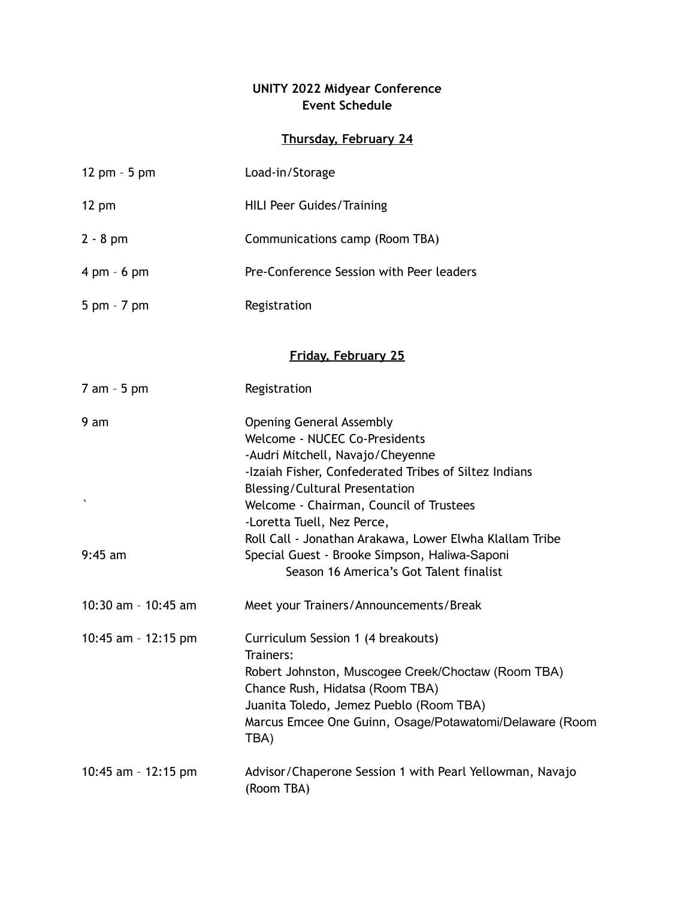## **UNITY 2022 Midyear Conference Event Schedule**

## **Thursday, February 24**

| 12 pm $-5$ pm                 | Load-in/Storage                                                                                          |  |
|-------------------------------|----------------------------------------------------------------------------------------------------------|--|
| $12 \text{ pm}$               | <b>HILI Peer Guides/Training</b>                                                                         |  |
| $2 - 8$ pm                    | Communications camp (Room TBA)                                                                           |  |
| $4 \text{ pm} - 6 \text{ pm}$ | Pre-Conference Session with Peer leaders                                                                 |  |
| $5$ pm $-7$ pm                | Registration                                                                                             |  |
| <b>Friday, February 25</b>    |                                                                                                          |  |
|                               |                                                                                                          |  |
| 7 am - 5 pm                   | Registration                                                                                             |  |
| 9 am                          | <b>Opening General Assembly</b>                                                                          |  |
|                               | Welcome - NUCEC Co-Presidents                                                                            |  |
|                               | -Audri Mitchell, Navajo/Cheyenne<br>-Izaiah Fisher, Confederated Tribes of Siltez Indians                |  |
|                               | <b>Blessing/Cultural Presentation</b>                                                                    |  |
|                               | Welcome - Chairman, Council of Trustees                                                                  |  |
|                               | -Loretta Tuell, Nez Perce,                                                                               |  |
| $9:45$ am                     | Roll Call - Jonathan Arakawa, Lower Elwha Klallam Tribe<br>Special Guest - Brooke Simpson, Haliwa-Saponi |  |
|                               | Season 16 America's Got Talent finalist                                                                  |  |
| 10:30 am - 10:45 am           | Meet your Trainers/Announcements/Break                                                                   |  |
| 10:45 am - 12:15 pm           | Curriculum Session 1 (4 breakouts)<br>Trainers:                                                          |  |
|                               | Robert Johnston, Muscogee Creek/Choctaw (Room TBA)                                                       |  |
|                               | Chance Rush, Hidatsa (Room TBA)                                                                          |  |
|                               | Juanita Toledo, Jemez Pueblo (Room TBA)                                                                  |  |
|                               | Marcus Emcee One Guinn, Osage/Potawatomi/Delaware (Room<br>TBA)                                          |  |
| 10:45 am - 12:15 pm           | Advisor/Chaperone Session 1 with Pearl Yellowman, Navajo<br>(Room TBA)                                   |  |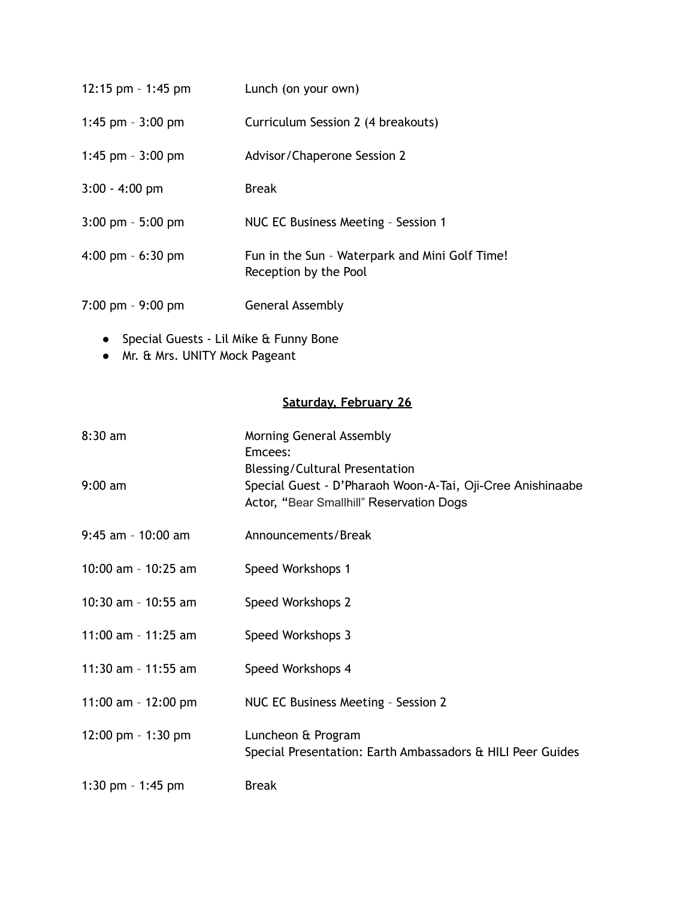| 12:15 pm - 1:45 pm                  | Lunch (on your own)                                                     |
|-------------------------------------|-------------------------------------------------------------------------|
| 1:45 pm $-3:00$ pm                  | Curriculum Session 2 (4 breakouts)                                      |
| 1:45 pm $-$ 3:00 pm                 | Advisor/Chaperone Session 2                                             |
| $3:00 - 4:00$ pm                    | Break                                                                   |
| $3:00$ pm $-5:00$ pm                | NUC EC Business Meeting - Session 1                                     |
| 4:00 pm $-6:30$ pm                  | Fun in the Sun - Waterpark and Mini Golf Time!<br>Reception by the Pool |
| $7:00 \text{ pm} - 9:00 \text{ pm}$ | General Assembly                                                        |

- 
- Special Guests Lil Mike & Funny Bone ● Mr. & Mrs. UNITY Mock Pageant

## **Saturday, February 26**

| $8:30$ am             | <b>Morning General Assembly</b><br>Emcees:                                                                                                      |
|-----------------------|-------------------------------------------------------------------------------------------------------------------------------------------------|
| $9:00 \text{ am}$     | <b>Blessing/Cultural Presentation</b><br>Special Guest - D'Pharaoh Woon-A-Tai, Oji-Cree Anishinaabe<br>Actor, "Bear Smallhill" Reservation Dogs |
| $9:45$ am - 10:00 am  | Announcements/Break                                                                                                                             |
| 10:00 am - $10:25$ am | Speed Workshops 1                                                                                                                               |
| 10:30 am - 10:55 am   | Speed Workshops 2                                                                                                                               |
| 11:00 am - 11:25 am   | Speed Workshops 3                                                                                                                               |
| 11:30 am - 11:55 am   | Speed Workshops 4                                                                                                                               |
| 11:00 am - $12:00$ pm | NUC EC Business Meeting - Session 2                                                                                                             |
| 12:00 pm $-$ 1:30 pm  | Luncheon & Program<br>Special Presentation: Earth Ambassadors & HILI Peer Guides                                                                |
| 1:30 pm $-$ 1:45 pm   | <b>Break</b>                                                                                                                                    |